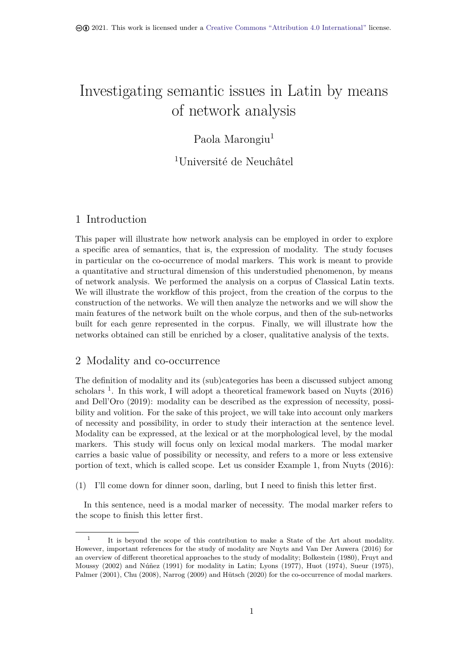# Investigating semantic issues in Latin by means of network analysis

# Paola Marongiu<sup>1</sup>

<sup>1</sup>Université de Neuchâtel

# 1 Introduction

This paper will illustrate how network analysis can be employed in order to explore a specific area of semantics, that is, the expression of modality. The study focuses in particular on the co-occurrence of modal markers. This work is meant to provide a quantitative and structural dimension of this understudied phenomenon, by means of network analysis. We performed the analysis on a corpus of Classical Latin texts. We will illustrate the workflow of this project, from the creation of the corpus to the construction of the networks. We will then analyze the networks and we will show the main features of the network built on the whole corpus, and then of the sub-networks built for each genre represented in the corpus. Finally, we will illustrate how the networks obtained can still be enriched by a closer, qualitative analysis of the texts.

# 2 Modality and co-occurrence

<span id="page-0-1"></span>The definition of modality and its (sub)categories has been a discussed subject among scholars  $<sup>1</sup>$ . In this work, I will adopt a theoretical framework based on Nuyts (2016)</sup> and Dell'Oro (2019): modality can be described as the expression of necessity, possibility and volition. For the sake of this project, we will take into account only markers of neces[sit](#page-0-0)y and possibility, in order to study their interaction at the sentence level. Modality can be expressed, at the lexical or at the morphological level, [by the](#page-13-0) [moda](#page-13-0)l mar[kers. Th](#page-12-0)i[s stud](#page-12-0)y will focus only on lexical modal markers. The modal marker carries a basic value of possibility or necessity, and refers to a more or less extensive portion of text, which is called scope. Let us consider Example 1, from Nuyts (2016):

(1) I'll come down for dinner soon, darling, but I need to finish this letter first.

In this sentence, need is a modal marker of necessity. The [mo](#page-0-1)dal m[arker r](#page-13-0)e[fers t](#page-13-0)o the scope to finish this letter first.

<span id="page-0-0"></span><sup>1</sup> It is beyond the scope of this contribution to make a State of the Art about modality. However, important references for the study of modality are Nuyts and Van Der Auwera (2016) for an overview of different theoretical approaches to the study of modality; Bolkestein (1980), Fruyt and Moussy (2002) and Núñez (1991) for modality in Latin; Lyons (1977), Huot (1974), Sueur (1975), Palmer (2001), Chu (2008), Narrog (2009) and Hütsch (2020) for the co-occurrence of modal markers.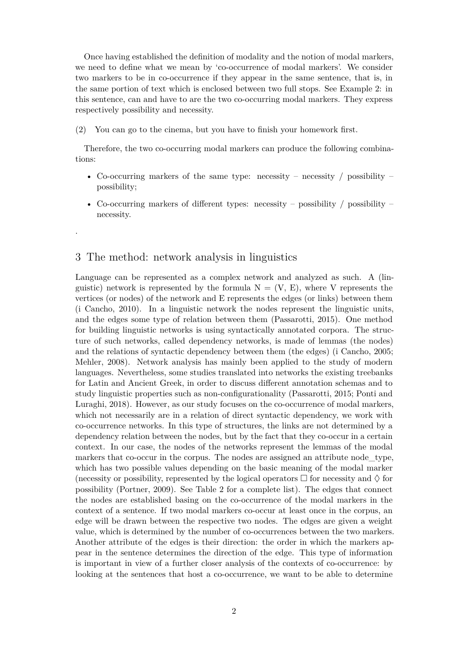Once having established the definition of modality and the notion of modal markers, we need to define what we mean by 'co-occurrence of modal markers'. We consider two markers to be in co-occurrence if they appear in the same sentence, that is, in the same portion of text which is enclosed between two full stops. See Example 2: in this sentence, can and have to are the two co-occurring modal markers. They express respectively possibility and necessity.

(2) You can go to the cinema, but you have to finish your homework first.

Therefore, the two co-occurring modal markers can produce the following combinations:

- Co-occurring markers of the same type: necessity necessity / possibility possibility;
- Co-occurring markers of different types: necessity possibility / possibility necessity.

## 3 The method: network analysis in linguistics

.

Language can be represented as a complex network and analyzed as such. A (linguistic) network is represented by the formula  $N = (V, E)$ , where V represents the vertices (or nodes) of the network and E represents the edges (or links) between them (i Cancho, 2010). In a linguistic network the nodes represent the linguistic units, and the edges some type of relation between them (Passarotti, 2015). One method for building linguistic networks is using syntactically annotated corpora. The structure of such networks, called dependency networks, is made of lemmas (the nodes) [and the re](#page-13-1)l[ations](#page-13-1) of syntactic dependency between them (the edges) (i Cancho, 2005; Mehler, 2008). Network analysis has mainly been [applied to](#page-13-2) t[he st](#page-13-2)udy of modern languages. Nevertheless, some studies translated into networks the existing treebanks for Latin and Ancient Greek, in order to discuss different annotation [schemas a](#page-12-2)nd to study linguistic properties such as non-configurationality (Passarotti, 2015; Pont[i and](#page-12-2) [Luragh](#page-13-3)i, [2018](#page-13-3)). However, as our study focuses on the co-occurrence of modal markers, which not necessarily are in a relation of direct syntactic dependency, we work with co-occurrence networks. In this type of structures, the links are not determined by a dependency relation between the nodes, but by the fact th[at they co-occur i](#page-13-2)[n a certain](#page-13-4) [context. In o](#page-13-4)ur case, the nodes of the networks represent the lemmas of the modal markers that co-occur in the corpus. The nodes are assigned an attribute node type, which has two possible values depending on the basic meaning of the modal marker (necessity or possibility, represented by the logical operators  $\Box$  for necessity and  $\Diamond$  for possibility (Portner, 2009). See Table 2 for a complete list). The edges that connect the nodes are established basing on the co-occurrence of the modal markers in the context of a sentence. If two modal markers co-occur at least once in the corpus, an edge will be drawn between the respective two nodes. The edges are given a weight value, whic[h is determined](#page-13-5) by the num[be](#page-4-0)r of co-occurrences between the two markers. Another attribute of the edges is their direction: the order in which the markers appear in the sentence determines the direction of the edge. This type of information is important in view of a further closer analysis of the contexts of co-occurrence: by looking at the sentences that host a co-occurrence, we want to be able to determine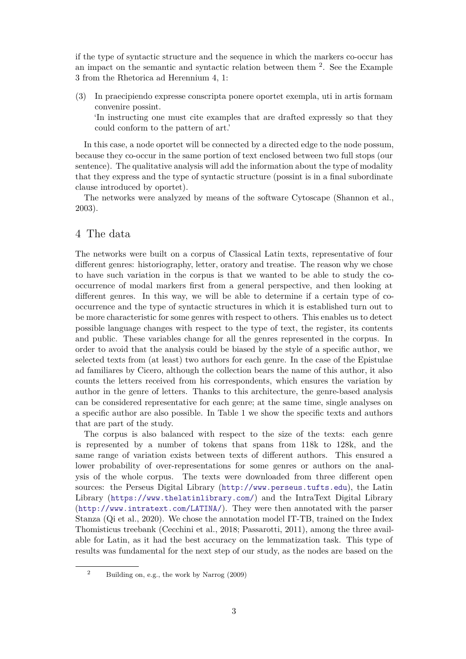if the type of syntactic structure and the sequence in which the markers co-occur has an impact on the semantic and syntactic relation between them  $2$ . See the Example 3 from the Rhetorica ad Herennium 4, 1:

(3) In praecipiendo expresse conscripta ponere oportet exempla, [u](#page-2-0)ti in artis formam convenire possint. 'In instructing one must cite examples that are drafted expressly so that they

could conform to the pattern of art.'

In this case, a node oportet will be connected by a directed edge to the node possum, because they co-occur in the same portion of text enclosed between two full stops (our sentence). The qualitative analysis will add the information about the type of modality that they express and the type of syntactic structure (possint is in a final subordinate clause introduced by oportet).

The networks were analyzed by means of the software Cytoscape (Shannon et al., 2003).

# 4 The data

[The](#page-13-6) networks were built on a corpus of Classical Latin texts, representative of four different genres: historiography, letter, oratory and treatise. The reason why we chose to have such variation in the corpus is that we wanted to be able to study the cooccurrence of modal markers first from a general perspective, and then looking at different genres. In this way, we will be able to determine if a certain type of cooccurrence and the type of syntactic structures in which it is established turn out to be more characteristic for some genres with respect to others. This enables us to detect possible language changes with respect to the type of text, the register, its contents and public. These variables change for all the genres represented in the corpus. In order to avoid that the analysis could be biased by the style of a specific author, we selected texts from (at least) two authors for each genre. In the case of the Epistulae ad familiares by Cicero, although the collection bears the name of this author, it also counts the letters received from his correspondents, which ensures the variation by author in the genre of letters. Thanks to this architecture, the genre-based analysis can be considered representative for each genre; at the same time, single analyses on a specific author are also possible. In Table 1 we show the specific texts and authors that are part of the study.

The corpus is also balanced with respect to the size of the texts: each genre is represented by a number of tokens that spans from 118k to 128k, and the same range of variation exists between tex[ts](#page-3-0) of different authors. This ensured a lower probability of over-representations for some genres or authors on the analysis of the whole corpus. The texts were downloaded from three different open sources: the Perseus Digital Library (http://www.perseus.tufts.edu), the Latin Library (https://www.thelatinlibrary.com/) and the IntraText Digital Library (http://www.intratext.com/LATINA/). They were then annotated with the parser Stanza (Qi et al., 2020). We chose the [annotation model IT-TB, trained o](http://www.perseus.tufts.edu)n the Index Thomisticus treebank (Cecchini et al., 2018; Passarotti, 2011), among the three available for [Latin, as it had the best accuracy on t](https://www.thelatinlibrary.com/)he lemmatization task. This type of [results was fundamental for the next ste](http://www.intratext.com/LATINA/)p of our study, as the nodes are based on the

<span id="page-2-0"></span><sup>2</sup> Building on, e.g., [the work by](#page-12-3) Narrog [\(200](#page-12-3)[9\)](#page-13-8)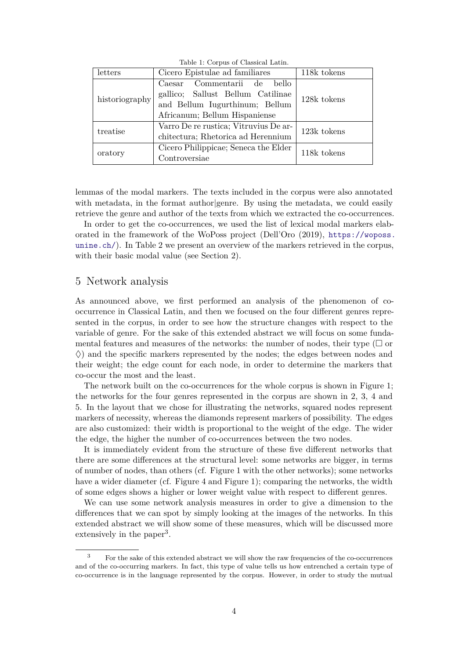Table 1: Corpus of Classical Latin.

<span id="page-3-0"></span>

| letters        | Cicero Epistulae ad familiares        | 118k tokens |  |
|----------------|---------------------------------------|-------------|--|
|                | Caesar Commentarii de<br><b>bello</b> |             |  |
|                | gallico; Sallust Bellum Catilinae     | 128k tokens |  |
| historiography | and Bellum Iugurthinum; Bellum        |             |  |
|                | Africanum; Bellum Hispaniense         |             |  |
| treatise       | Varro De re rustica; Vitruvius De ar- | 123k tokens |  |
|                | chitectura; Rhetorica ad Herennium    |             |  |
| oratory        | Cicero Philippicae; Seneca the Elder  | 118k tokens |  |
|                | Controversiae                         |             |  |

lemmas of the modal markers. The texts included in the corpus were also annotated with metadata, in the format author genre. By using the metadata, we could easily retrieve the genre and author of the texts from which we extracted the co-occurrences.

In order to get the co-occurrences, we used the list of lexical modal markers elaborated in the framework of the WoPoss project (Dell'Oro (2019), https://woposs. unine.ch/). In Table 2 we present an overview of the markers retrieved in the corpus, with their basic modal value (see Section 2).

#### [5 Netwo](https://woposs.unine.ch/)rk analy[si](#page-4-0)s

As announced above, we first performed an analysis of the phenomenon of cooccurrence in Classical Latin, and then we focused on the four different genres represented in the corpus, in order to see how the structure changes with respect to the variable of genre. For the sake of this extended abstract we will focus on some fundamental features and measures of the networks: the number of nodes, their type  $(\Box$  or ♢) and the specific markers represented by the nodes; the edges between nodes and their weight; the edge count for each node, in order to determine the markers that co-occur the most and the least.

The network built on the co-occurrences for the whole corpus is shown in Figure 1; the networks for the four genres represented in the corpus are shown in 2, 3, 4 and 5. In the layout that we chose for illustrating the networks, squared nodes represent markers of necessity, whereas the diamonds represent markers of possibility. The edges are also customized: their width is proportional to the weight of the edge. [T](#page-6-0)[h](#page-7-0)e [w](#page-8-0)id[er](#page-5-0) [th](#page-9-0)e edge, the higher the number of co-occurrences between the two nodes.

It is immediately evident from the structure of these five different networks that there are some differences at the structural level: some networks are bigger, in terms of number of nodes, than others (cf. Figure 1 with the other networks); some networks have a wider diameter (cf. Figure 4 and Figure 1); comparing the networks, the width of some edges shows a higher or lower weight value with respect to different genres.

We can use some network analysis measures in order to give a dimension to the differences that we can spot by simply loo[kin](#page-5-0)g at the images of the networks. In this extended abstract we will show so[m](#page-8-0)e of these [me](#page-5-0)asures, which will be discussed more extensively in the paper<sup>3</sup>.

<span id="page-3-1"></span><sup>&</sup>lt;sup>3</sup> For the sake of this extended abstract we will show the raw frequencies of the co-occurrences and of the co-occurring mar[ke](#page-3-1)rs. In fact, this type of value tells us how entrenched a certain type of co-occurrence is in the language represented by the corpus. However, in order to study the mutual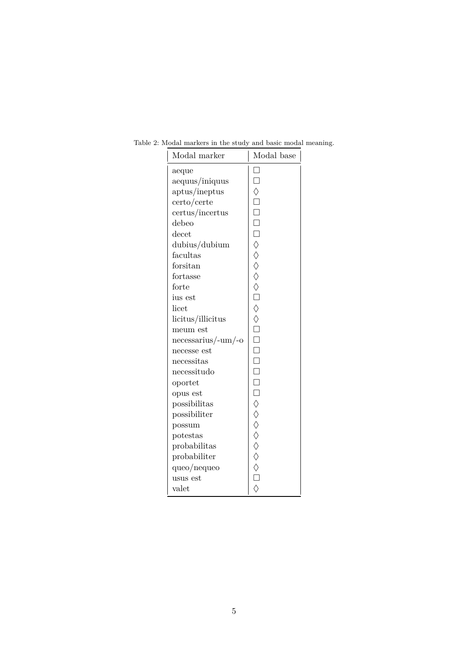| Modal marker          | Modal base                       |
|-----------------------|----------------------------------|
| aeque                 |                                  |
| aequus/iniquus        | $\Box$                           |
| aptus/ineptus         |                                  |
| $c$ erto/certe        |                                  |
| certus/incertus       |                                  |
| debeo                 |                                  |
| decet                 |                                  |
| dubius/dubium         |                                  |
| facultas              |                                  |
| forsitan              |                                  |
| fortasse              |                                  |
| forte                 |                                  |
| ius est               |                                  |
| licet                 |                                  |
| licitus/illicitus     |                                  |
| meum est              |                                  |
| $n$ ecessarius/-um/-o |                                  |
| necesse est           |                                  |
| necessitas            |                                  |
| necessitudo           |                                  |
| oportet               |                                  |
| opus est              |                                  |
| possibilitas          |                                  |
| possibiliter          |                                  |
| possum                |                                  |
| potestas              |                                  |
| probabilitas          |                                  |
| probabiliter          |                                  |
| queo/nequeo           | ◇□□□□◇◇◇◇◇○□◇◇□□□□□□□○◇◇◇◇◇◇◇○○◇ |
| usus est              |                                  |
| valet                 |                                  |

<span id="page-4-0"></span>Table 2: Modal markers in the study and basic modal meaning.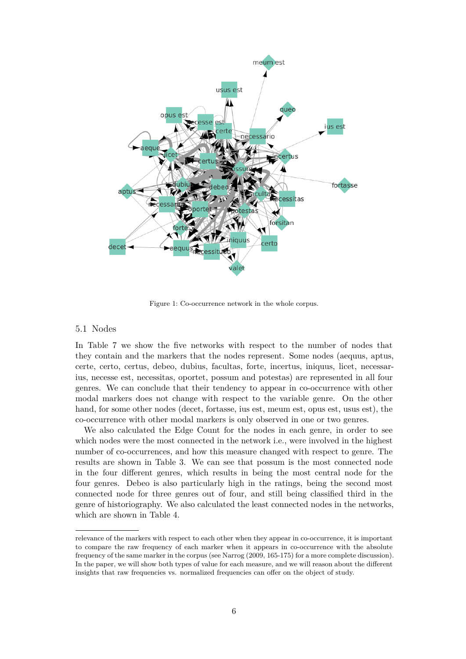

Figure 1: Co-occurrence network in the whole corpus.

#### <span id="page-5-0"></span>5.1 Nodes

In Table 7 we show the five networks with respect to the number of nodes that they contain and the markers that the nodes represent. Some nodes (aequus, aptus, certe, certo, certus, debeo, dubius, facultas, forte, incertus, iniquus, licet, necessarius, necesse est, necessitas, oportet, possum and potestas) are represented in all four genres. [We](#page-11-0) can conclude that their tendency to appear in co-occurrence with other modal markers does not change with respect to the variable genre. On the other hand, for some other nodes (decet, fortasse, ius est, meum est, opus est, usus est), the co-occurrence with other modal markers is only observed in one or two genres.

We also calculated the Edge Count for the nodes in each genre, in order to see which nodes were the most connected in the network i.e., were involved in the highest number of co-occurrences, and how this measure changed with respect to genre. The results are shown in Table 3. We can see that possum is the most connected node in the four different genres, which results in being the most central node for the four genres. Debeo is also particularly high in the ratings, being the second most connected node for three genres out of four, and still being classified third in the genre of historiography. We [a](#page-6-1)lso calculated the least connected nodes in the networks, which are shown in Table 4.

relevance of the markers with respect to each other when they appear in co-occurrence, it is important to compare the raw frequency of each marker when it appears in co-occurrence with the absolute frequency of the same marker i[n t](#page-6-2)he corpus (see Narrog (2009, 165-175) for a more complete discussion). In the paper, we will show both types of value for each measure, and we will reason about the different insights that raw frequencies vs. normalized frequencies can offer on the object of study.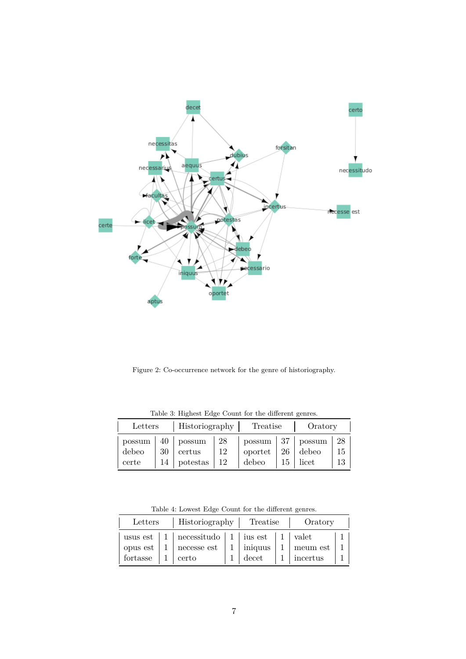

<span id="page-6-0"></span>Figure 2: Co-occurrence network for the genre of historiography.

<span id="page-6-1"></span>

| Letters        |    |                                                                        | Historiography  <br>Treatise<br>Oratory |                                                   |      |                       |          |
|----------------|----|------------------------------------------------------------------------|-----------------------------------------|---------------------------------------------------|------|-----------------------|----------|
| debeo<br>certe | 30 | $possum \mid 40 \mid possum \mid 28$<br>certus<br>$14$   potestas   12 | 12                                      | $\log_{10} 137$   possum   28<br>oportet<br>debeo | 26 l | debeo<br>$15$   licet | 15<br>13 |

Table 3: Highest Edge Count for the different genres.

Table 4: Lowest Edge Count for the different genres.

<span id="page-6-2"></span>

| Letters              | Historiography   Treatise                                                              |  | Oratory                          |                            |  |
|----------------------|----------------------------------------------------------------------------------------|--|----------------------------------|----------------------------|--|
| opus est<br>fortasse | usus est   1   necessitudo   1   ius est   1   valet<br>$1 \vert$ necesse est<br>certo |  | $1 \mid \text{iniquus}$<br>decet | meum est<br>$1$   incertus |  |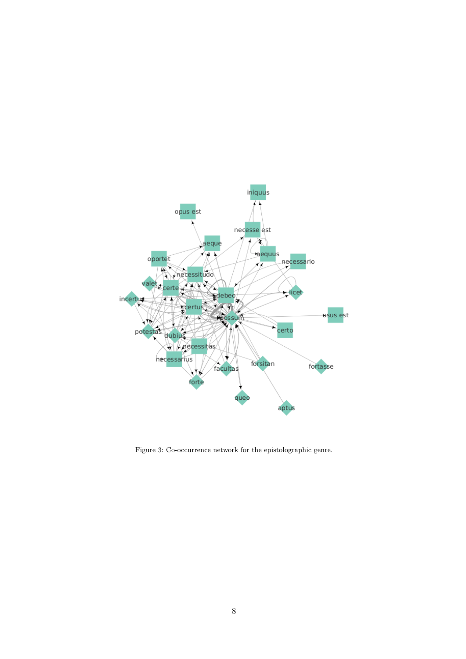

<span id="page-7-0"></span>Figure 3: Co-occurrence network for the epistolographic genre.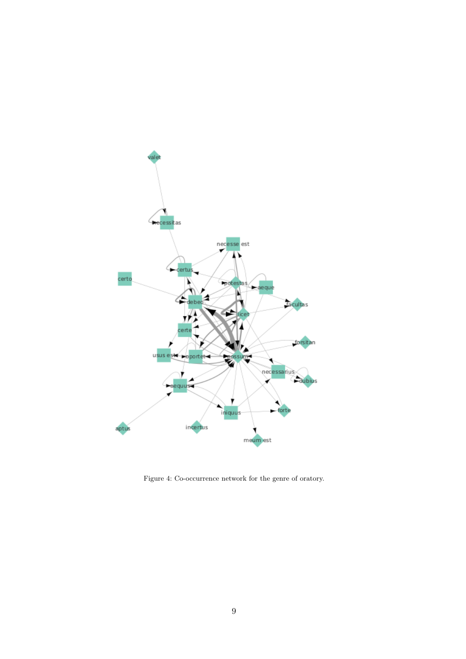

<span id="page-8-0"></span>Figure 4: Co-occurrence network for the genre of oratory.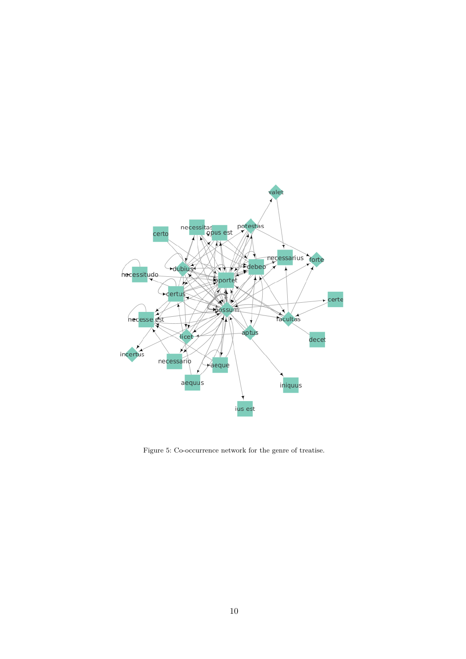

<span id="page-9-0"></span>Figure 5: Co-occurrence network for the genre of treatise.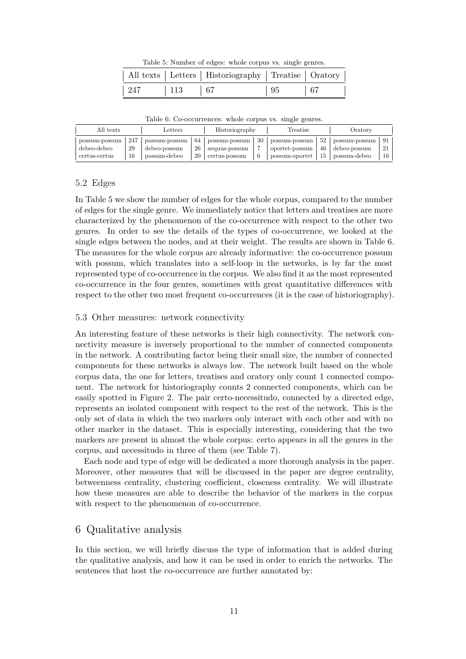Table 5: Number of edges: whole corpus vs. single genres.

|                | All texts   Letters   Historiography   Treatise   Oratory |           |              |
|----------------|-----------------------------------------------------------|-----------|--------------|
| 247   113   67 |                                                           | $\mid 95$ | $\boxed{67}$ |

<span id="page-10-1"></span><span id="page-10-0"></span>

|                                               | All texts       | $_{\rm Letters}$                              |                | Historiography                                  |         | Treatise                                          |                | Oratory                                       |                |
|-----------------------------------------------|-----------------|-----------------------------------------------|----------------|-------------------------------------------------|---------|---------------------------------------------------|----------------|-----------------------------------------------|----------------|
| possum-possum<br>debeo-debeo<br>certus-certus | 247<br>29<br>16 | possum-possum<br>debeo-possum<br>possum-debeo | 64<br>26<br>20 | possum-possum<br>aequus-possum<br>certus-possum | 30<br>b | possum-possum<br>oportet-possum<br>possum-oportet | 52<br>46<br>15 | possum-possum<br>debeo-possum<br>possum-debeo | 91<br>21<br>16 |

Table 6: Co-occurrences: whole corpus vs. single genres.

#### 5.2 Edges

In Table 5 we show the number of edges for the whole corpus, compared to the number of edges for the single genre. We immediately notice that letters and treatises are more characterized by the phenomenon of the co-occurrence with respect to the other two genres. In order to see the details of the types of co-occurrence, we looked at the single ed[ge](#page-10-0)s between the nodes, and at their weight. The results are shown in Table 6. The measures for the whole corpus are already informative: the co-occurrence possum with possum, which translates into a self-loop in the networks, is by far the most represented type of co-occurrence in the corpus. We also find it as the most represented co-occurrence in the four genres, sometimes with great quantitative differences wi[th](#page-10-1) respect to the other two most frequent co-occurrences (it is the case of historiography).

#### 5.3 Other measures: network connectivity

An interesting feature of these networks is their high connectivity. The network connectivity measure is inversely proportional to the number of connected components in the network. A contributing factor being their small size, the number of connected components for these networks is always low. The network built based on the whole corpus data, the one for letters, treatises and oratory only count 1 connected component. The network for historiography counts 2 connected components, which can be easily spotted in Figure 2. The pair certo-necessitudo, connected by a directed edge, represents an isolated component with respect to the rest of the network. This is the only set of data in which the two markers only interact with each other and with no other marker in the dataset. This is especially interesting, considering that the two markers are present in al[m](#page-6-0)ost the whole corpus: certo appears in all the genres in the corpus, and necessitudo in three of them (see Table 7).

Each node and type of edge will be dedicated a more thorough analysis in the paper. Moreover, other measures that will be discussed in the paper are degree centrality, betweenness centrality, clustering coefficient, closeness centrality. We will illustrate how these measures are able to describe the behav[io](#page-11-0)r of the markers in the corpus with respect to the phenomenon of co-occurrence.

# 6 Qualitative analysis

In this section, we will briefly discuss the type of information that is added during the qualitative analysis, and how it can be used in order to enrich the networks. The sentences that host the co-occurrence are further annotated by: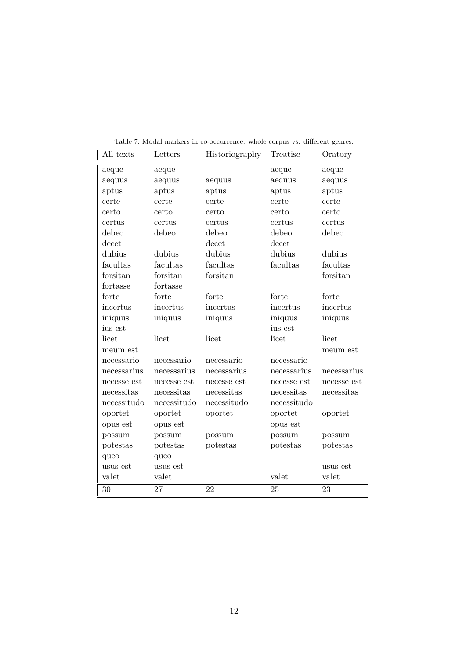<span id="page-11-0"></span>

| All texts   | Letters     | Historiography | Treatise    | Oratory     |
|-------------|-------------|----------------|-------------|-------------|
| aeque       | aeque       |                | aeque       | aeque       |
| aequus      | aequus      | aequus         | aequus      | aequus      |
| aptus       | aptus       | aptus          | aptus       | aptus       |
| certe       | certe       | certe          | certe       | certe       |
| certo       | certo       | certo          | certo       | certo       |
| certus      | certus      | certus         | certus      | certus      |
| debeo       | debeo       | debeo          | debeo       | debeo       |
| decet       |             | decet          | decet       |             |
| dubius      | dubius      | dubius         | dubius      | dubius      |
| facultas    | facultas    | facultas       | facultas    | facultas    |
| forsitan    | forsitan    | forsitan       |             | forsitan    |
| fortasse    | fortasse    |                |             |             |
| forte       | forte       | forte          | forte       | forte       |
| incertus    | incertus    | incertus       | incertus    | incertus    |
| iniquus     | iniquus     | iniquus        | iniquus     | iniquus     |
| ius est     |             |                | ius est     |             |
| licet       | licet       | licet          | licet       | licet       |
| meum est    |             |                |             | meum est    |
| necessario  | necessario  | necessario     | necessario  |             |
| necessarius | necessarius | necessarius    | necessarius | necessarius |
| necesse est | necesse est | necesse est    | necesse est | necesse est |
| necessitas  | necessitas  | necessitas     | necessitas  | necessitas  |
| necessitudo | necessitudo | necessitudo    | necessitudo |             |
| oportet     | oportet     | oportet        | oportet     | oportet     |
| opus est    | opus est    |                | opus est    |             |
| possum      | possum      | possum         | possum      | possum      |
| potestas    | potestas    | potestas       | potestas    | potestas    |
| queo        | queo        |                |             |             |
| usus est    | usus est    |                |             | usus est    |
| valet       | valet       |                | valet       | valet       |
| 30          | 27          | 22             | 25          | 23          |

Table 7: Modal markers in co-occurrence: whole corpus vs. different genres.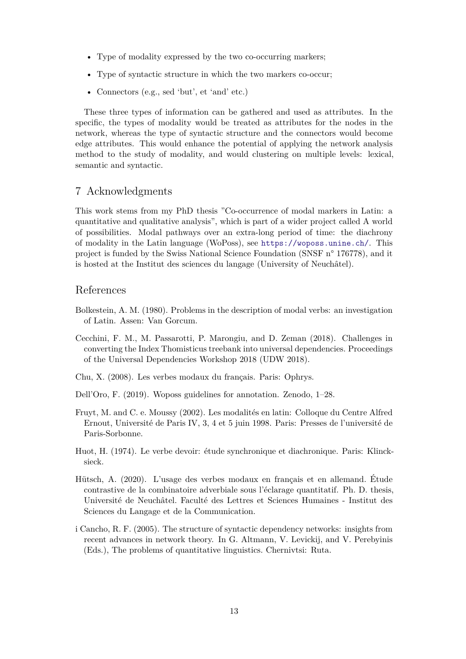- Type of modality expressed by the two co-occurring markers;
- Type of syntactic structure in which the two markers co-occur;
- Connectors (e.g., sed 'but', et 'and' etc.)

These three types of information can be gathered and used as attributes. In the specific, the types of modality would be treated as attributes for the nodes in the network, whereas the type of syntactic structure and the connectors would become edge attributes. This would enhance the potential of applying the network analysis method to the study of modality, and would clustering on multiple levels: lexical, semantic and syntactic.

## 7 Acknowledgments

This work stems from my PhD thesis "Co-occurrence of modal markers in Latin: a quantitative and qualitative analysis", which is part of a wider project called A world of possibilities. Modal pathways over an extra-long period of time: the diachrony of modality in the Latin language (WoPoss), see https://woposs.unine.ch/. This project is funded by the Swiss National Science Foundation (SNSF n° 176778), and it is hosted at the Institut des sciences du langage (University of Neuchâtel).

#### References

- Bolkestein, A. M. (1980). Problems in the description of modal verbs: an investigation of Latin. Assen: Van Gorcum.
- Cecchini, F. M., M. Passarotti, P. Marongiu, and D. Zeman (2018). Challenges in converting the Index Thomisticus treebank into universal dependencies. Proceedings of the Universal Dependencies Workshop 2018 (UDW 2018).
- <span id="page-12-3"></span>Chu, X. (2008). Les verbes modaux du français. Paris: Ophrys.
- Dell'Oro, F. (2019). Woposs guidelines for annotation. Zenodo, 1–28.
- <span id="page-12-0"></span>Fruyt, M. and C. e. Moussy (2002). Les modalités en latin: Colloque du Centre Alfred Ernout, Université de Paris IV, 3, 4 et 5 juin 1998. Paris: Presses de l'université de Paris-Sorbonne.
- Huot, H. (1974). Le verbe devoir: étude synchronique et diachronique. Paris: Klincksieck.
- Hütsch, A. (2020). L'usage des verbes modaux en français et en allemand. Étude contrastive de la combinatoire adverbiale sous l'éclarage quantitatif. Ph. D. thesis, Université de Neuchâtel. Faculté des Lettres et Sciences Humaines - Institut des Sciences du Langage et de la Communication.
- <span id="page-12-2"></span><span id="page-12-1"></span>i Cancho, R. F. (2005). The structure of syntactic dependency networks: insights from recent advances in network theory. In G. Altmann, V. Levickij, and V. Perebyinis (Eds.), The problems of quantitative linguistics. Chernivtsi: Ruta.